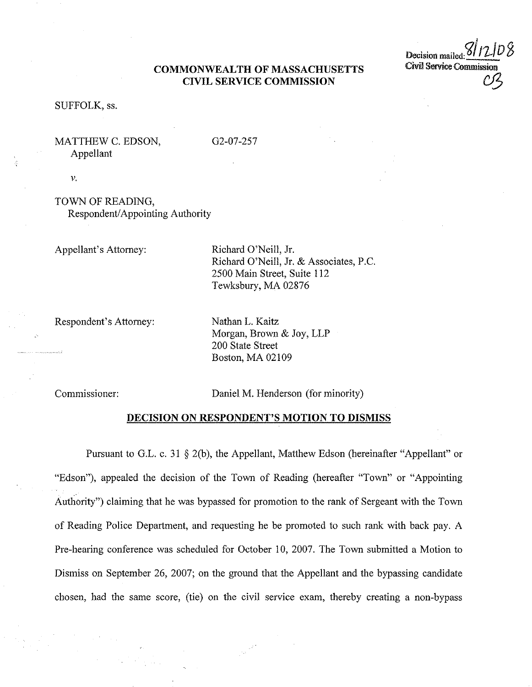### **COMMONWEALTH OF MASSACHUSETTS CIVIL SERVICE COMMISSION**

Decision mailed: Civil Service Commission *Cf3* 

#### SUFFOLK, ss.

## MATTHEW C. EDSON, Appellant

02-07-257

V.

# TOWN OF READING, Respondent/ Appointing Authority

Appellant's Attorney:

Richard O'Neill, Jr. Richard O'Neill, Jr. & Associates, P.C. 2500 Main Street, Suite 112 Tewksbury, MA 02876

Respondent's Attorney:

Nathan L. Kaitz Morgan, Brown & Joy, LLP 200 State Street Boston, MA 02109

Commissioner:

Daniel M. Henderson (for minority)

#### **DECISION ON RESPONDENT'S MOTION TO DISMISS**

Pursuant to G.L. c. 31  $\S$  2(b), the Appellant, Matthew Edson (hereinafter "Appellant" or "Edson"), appealed the decision of the Town of Reading (hereafter "Town" or "Appointing Authority") claiming that he was bypassed for promotion to the rank of Sergeant with the Town of Reading Police Department, and requesting he be promoted to such rank with back pay. A Pre-hearing conference was scheduled for October 10, 2007. The Town submitted a Motion to Dismiss on September 26, 2007; on the ground that the Appellant and the bypassing candidate chosen, had the same score, (tie) on the civil service exam, thereby creating a non-bypass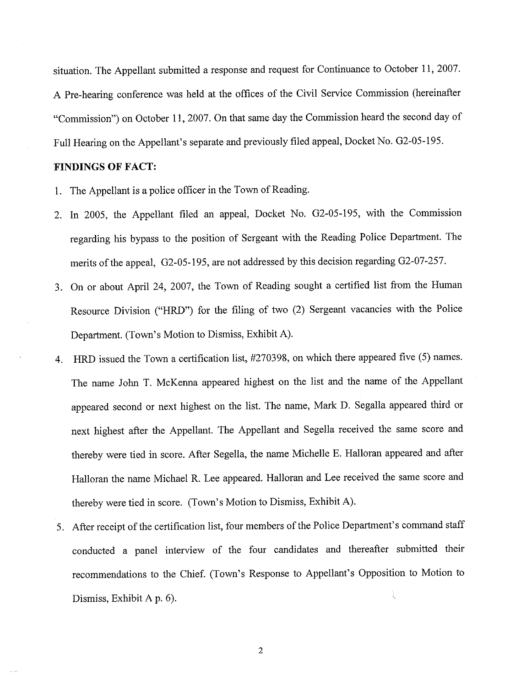situation. The Appellant submitted a response and request for Continuance to October 11, 2007. A Pre-hearing conference was held at the offices of the Civil Service Commission (hereinafter "Commission") on October 11, 2007. On that same day the Commission heard the second day of Full Hearing on the Appellant's separate and previously filed appeal, Docket No. 02-05-195.

## **FINDINGS OF FACT:**

- I. The Appellant is a police officer in the Town of Reading.
- 2. In 2005, the Appellant filed an appeal, Docket No. 02-05-195, with the Commission regarding his bypass to the position of Sergeant with the Reading Police Department. The merits of the appeal, 02-05-195, are not addressed by this decision regarding 02-07-257.
- 3. On or about April 24, 2007, the Town of Reading sought a certified list from the Human Resource Division ("HRD") for the filing of two (2) Sergeant vacancies with the Police Department. (Town's Motion to Dismiss, Exhibit A).
- 4. HRD issued the Town a certification list, #270398, on which there appeared five (5) names. The name John T. McKenna appeared highest on the list and the name of the Appellant appeared second or next highest on the list. The name, Mark D. Segalla appeared third or next highest after the Appellant. The Appellant and Segella received the same score and thereby were tied in score. After Segella, the name Michelle E. Halloran appeared and after Halloran the name Michael R. Lee appeared. Halloran and Lee received the same score and thereby were tied in score. (Town's Motion to Dismiss, Exhibit A).
- 5. After receipt of the certification list, four members of the Police Department's command staff conducted a panel interview of the four candidates and thereafter submitted their recommendations to the Chief. (Town's Response to Appellant's Opposition to Motion to ì Dismiss, Exhibit A p. 6).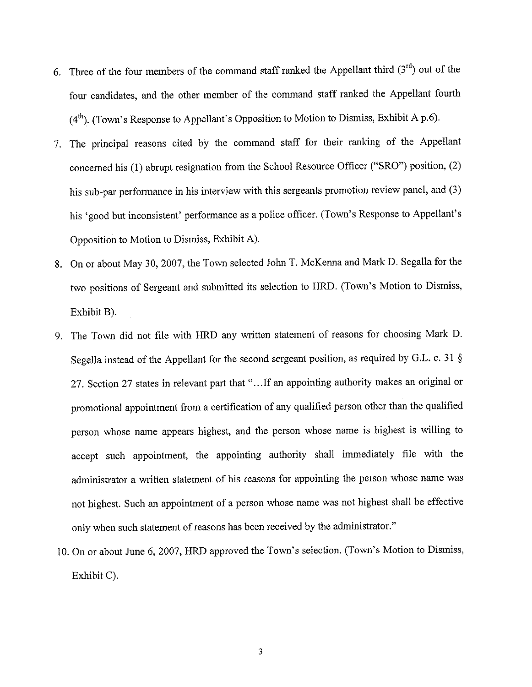- 6. Three of the four members of the command staff ranked the Appellant third  $(3<sup>rd</sup>)$  out of the four candidates, and the other member of the command staff ranked the Appellant fourth  $(4<sup>th</sup>)$ . (Town's Response to Appellant's Opposition to Motion to Dismiss, Exhibit A p.6).
- 7. The principal reasons cited by the command staff for their ranking of the Appellant concerned his(!) abrupt resignation from the School Resource Officer ("SRO") position, (2) his sub-par performance in his interview with this sergeants promotion review panel, and (3) his 'good but inconsistent' performance as a police officer. (Town's Response to Appellant's Opposition to Motion to Dismiss, Exhibit A).
- 8. On or about May 30, 2007, the Town selected John T. McKenna and Mark D. Segalla for the two positions of Sergeant and submitted its selection to HRD. (Town's Motion to Dismiss, Exhibit B).
- 9. The Town did not file with HRD any written statement of reasons for choosing Mark D. Segella instead of the Appellant for the second sergeant position, as required by G.L. c. 31 § 27. Section 27 states in relevant part that "... If an appointing authority makes an original or promotional appointment from a certification of any qualified person other than the qualified person whose name appears highest, and the person whose name is highest is willing to accept such appointment, the appointing authority shall immediately file with the administrator a written statement of his reasons for appointing the person whose name was not highest. Such an appointment of a person whose name was not highest shall be effective only when such statement of reasons has been received by the administrator."
- JO. On or about June 6, 2007, HRD approved the Town's selection. (Town's Motion to Dismiss, Exhibit C).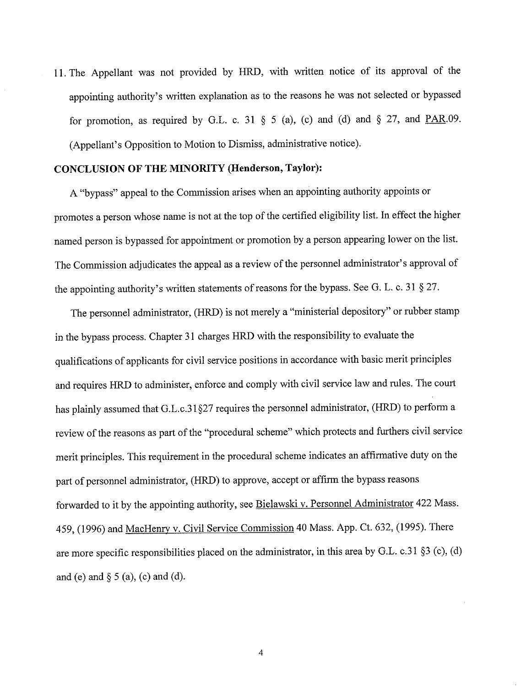11. The Appellant was not provided by HRD, with written notice of its approval of the appointing authority's written explanation as to the reasons he was not selected or bypassed for promotion, as required by G.L. c. 31  $\S$  5 (a), (c) and (d) and  $\S$  27, and PAR.09. (Appellant's Opposition to Motion to Dismiss, administrative notice).

#### **CONCLUSION OF THE MINORITY (Henderson, Taylor):**

A "bypass" appeal to the Commission arises when an appointing authority appoints or promotes a person whose name is not at the top of the certified eligibility list. In effect the higher named person is bypassed for appointment or promotion by a person appearing lower on the list. The Commission adjudicates the appeal as a review of the personnel administrator's approval of the appointing authority's written statements of reasons for the bypass. See G. L. c. 31 § 27.

The personnel administrator, (HRD) is not merely a "ministerial depository" or rubber stamp in the bypass process. Chapter 31 charges HRD with the responsibility to evaluate the qualifications of applicants for civil service positions in accordance with basic merit principles and requires HRD to administer, enforce and comply with civil service law and rules. The court has plainly assumed that G.L.c.31§27 requires the personnel administrator, (HRD) to perform a review of the reasons as part of the "procedural scheme" which protects and furthers civil service merit principles. This requirement in the procedural scheme indicates an affirmative duty on the part of personnel administrator, (HRD) to approve, accept or affirm the bypass reasons forwarded to it by the appointing authority, see Bielawski v. Personnel Administrator 422 Mass. 459, (1996) and MacHenry v. Civil Service Commission 40 Mass. App. Ct. 632, (1995). There are more specific responsibilities placed on the administrator, in this area by G.L. c.31 §3 (c), (d) and (e) and  $\S$  5 (a), (c) and (d).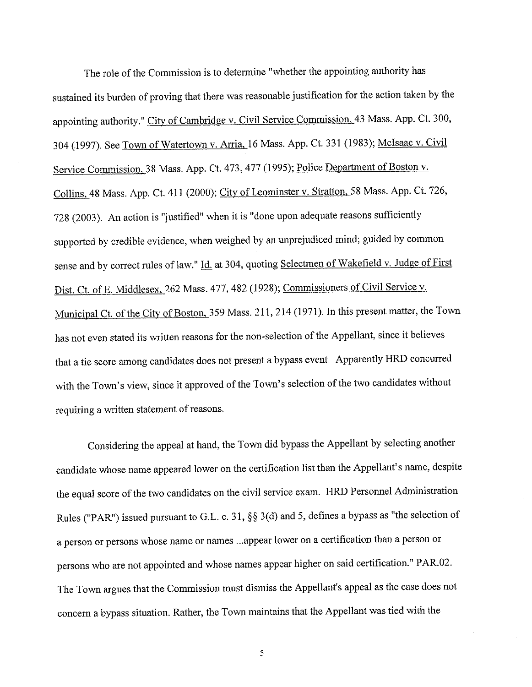The role of the Commission is to determine "whether the appointing authority has sustained its burden of proving that there was reasonable justification for the action taken by the appointing authority." City of Cambridge v. Civil Service Commission, 43 Mass. App. Ct. 300, 304 (1997). See Town of Watertown v. Arria, 16 Mass. App. Ct. 331 (1983); McIsaac v. Civil Service Commission, 38 Mass. App. Ct. 473,477 (1995); Police Department of Boston v. Collins, 48 Mass. App. Ct. 411 (2000); City of Leominster v. Stratton, 58 Mass. App. Ct. 726, 728 (2003). An action is "justified" when it is "done upon adequate reasons sufficiently supported by credible evidence, when weighed by an unprejudiced mind; guided by common sense and by correct rules of law." Id. at 304, quoting Selectmen of Wakefield v. Judge of First Dist. Ct. of E. Middlesex, 262 Mass. 477, 482 (1928); Commissioners of Civil Service v. Municipal Ct. of the City of Boston, 359 Mass. 211, 214 (1971). In this present matter, the Town has not even stated its written reasons for the non-selection of the Appellant, since it believes that a tie score among candidates does not present a bypass event. Apparently HRD concurred with the Town's view, since it approved of the Town's selection of the two candidates without requiring a written statement of reasons.

Considering the appeal at hand, the Town did bypass the Appellant by selecting another candidate whose name appeared lower on the certification list than the Appellant's name, despite the equal score of the two candidates on the civil service exam. HRD Personnel Administration Rules ("PAR") issued pursuant to G.L. c. 31, §§ 3(d) and 5, defines a bypass as "the selection of a person or persons whose name or names ... appear lower on a certification than a person or persons who are not appointed and whose names appear higher on said certification." PAR.02. The Town argues that the Commission must dismiss the Appellant's appeal as the case does not concern a bypass situation. Rather, the Town maintains that the Appellant was tied with the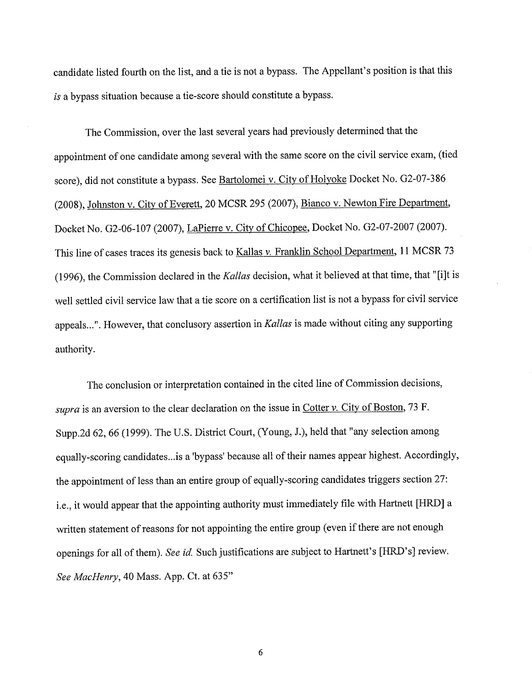candidate listed fourth on the list, and a tie is not a bypass. The Appellant's position is that this *is* a bypass situation because a tie-score should constitute a bypass.

The Commission, over the last several years had previously determined that the appointment of one candidate among several with the same score on the civil service exam, (tied score), did not constitute a bypass. See Bartolomei v. City of Holyoke Docket No. G2-07-386 (2008), Johnston v. City of Everett, 20 MCSR 295 (2007), Bianco v. Newton Fire Department, Docket No. 02-06-107 (2007), LaPierre v. City of Chicopee, Docket No. 02-07-2007 (2007). This line of cases traces its genesis back to Kallas *v*. Franklin School Department, 11 MCSR 73 (1996), the Commission declared in the *Kallas* decision, what it believed at that time, that "[i]t is well settled civil service law that a tie score on a certification list is not a bypass for civil service appeals ... ". However, that conclusory assertion in *Kallas* is made without citing any supporting authority.

The conclusion or interpretation contained in the cited line of Commission decisions, *supra* is an aversion to the clear declaration on the issue in Cotter *v.* City of Boston, 73 F. Supp.2d 62, 66 (1999). The U.S. District Court, (Young, J.), held that "any selection among equally-scoring candidates .. .is a 'bypass' because all of their names appear highest. Accordingly, the appointment of less than an entire group of equally-scoring candidates triggers section 27: i.e., it would appear that the appointing authority must immediately file with Hartnett [HRD] a written statement of reasons for not appointing the entire group (even if there are not enough openings for all of them). *See id.* Such justifications are subject to Hartnett's [HRD's] review. *See MacHenry,* 40 Mass. App. Ct. at 635"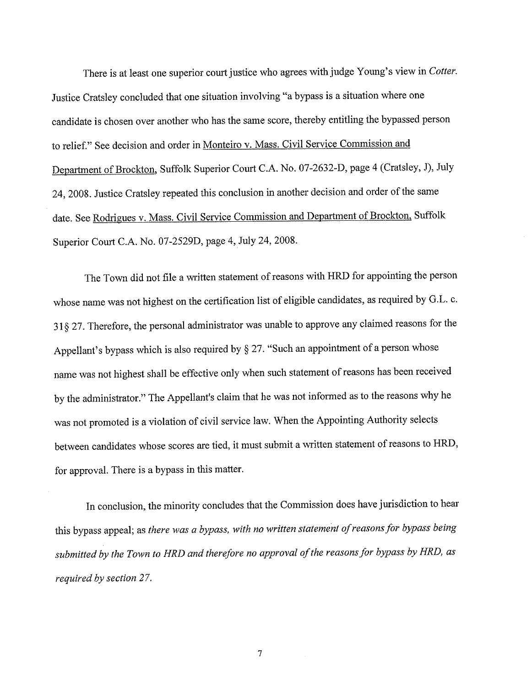There is at least one superior court justice who agrees with judge Young's view in *Cotter.*  Justice Cratsley concluded that one situation involving "a bypass is a situation where one candidate is chosen over another who has the same score, thereby entitling the bypassed person to relief." See decision and order in Monteiro v. Mass. Civil Service Commission and Department of Brockton, Suffolk Superior Court C.A. No. 07-2632-D, page 4 (Cratsley, J), July 24, 2008. Justice Cratsley repeated this conclusion in another decision and order of the same date. See Rodrigues v. Mass. Civil Service Commission and Department of Brockton, Suffolk Superior Court C.A. No. 07-2529D, page 4, July 24, 2008.

The Town did not file a written statement of reasons with HRD for appointing the person whose name was not highest on the certification list of eligible candidates, as required by G.L. c. 31 § 27. Therefore, the personal administrator was unable to approve any claimed reasons for the Appellant's bypass which is also required by  $\S 27$ . "Such an appointment of a person whose name was not highest shall be effective only when such statement ofreasons has been received by the administrator." The Appellant's claim that he was not informed as to the reasons why he was not promoted is a violation of civil service law. When the Appointing Authority selects between candidates whose scores are tied, it must submit a written statement of reasons to HRD, for approval. There is a bypass in this matter.

In conclusion, the minority concludes that the Commission does have jurisdiction to hear this bypass appeal; as *there was a bypass, with no written statement of reasons for bypass being submitted by the Town to HRD and therefore no approval of the reasons for bypass by HRD, as required by section 27.*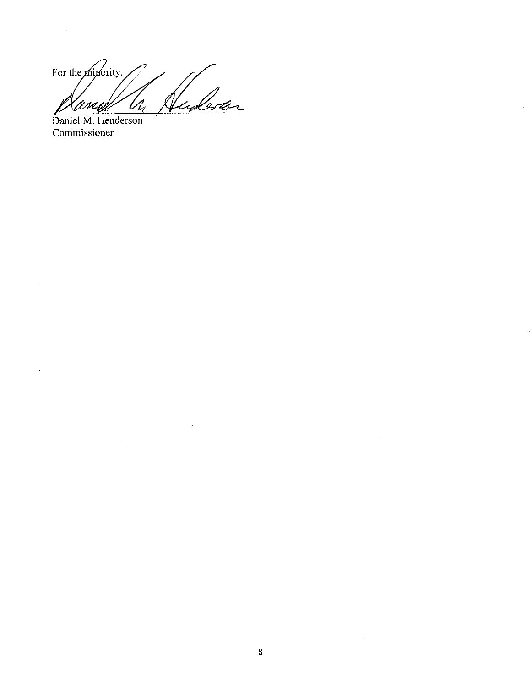For the *minority*.  $\mathscr{C}$ Lr  $Z_{\!\scriptscriptstyle\ell}$ 'Ani L

 $\sim$   $\sim$ 

Daniel M. Henderson Commissioner

 $\hat{\mathcal{A}}$ 

 $\sim$ 

 $\sim$ 

 $\sim$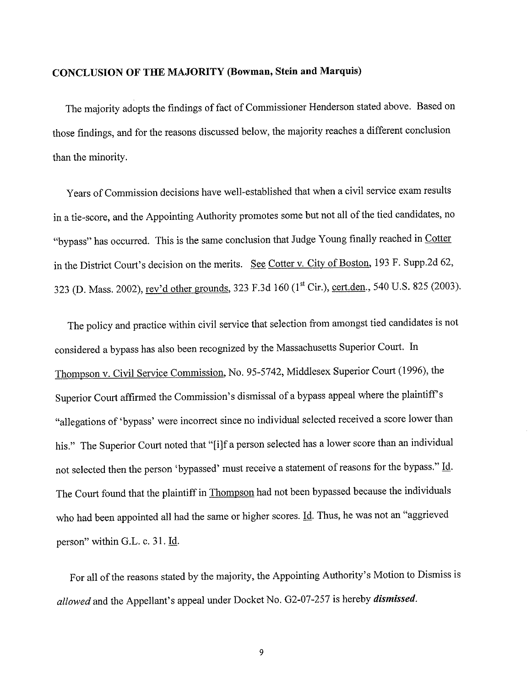# **CONCLUSION OF THE MAJORITY (Bowman, Stein and Marquis)**

The majority adopts the findings of fact of Commissioner Henderson stated above. Based on those findings, and for the reasons discussed below, the majority reaches a different conclusion than the minority.

Years of Commission decisions have well-established that when a civil service exam results in a tie-score, and the Appointing Authority promotes some but not all of the tied candidates, no "bypass" has occurred. This is the same conclusion that Judge Young finally reached in Cotter in the District Court's decision on the merits. See Cotter v. City of Boston, 193 F. Supp.2d 62, 323 (D. Mass. 2002), rev'd other grounds, 323 F.3d 160 (1<sup>st</sup> Cir.), cert.den., 540 U.S. 825 (2003).

The policy and practice within civil service that selection from amongst tied candidates is not considered a bypass has also been recognized by the Massachusetts Superior Court. In Thompson v. Civil Service Commission, No. 95-5742, Middlesex Superior Court (1996), the Superior Court affirmed the Commission's dismissal of a bypass appeal where the plaintiff's "allegations of 'bypass' were incorrect since no individual selected received a score lower than his." The Superior Court noted that "[i]f a person selected has a lower score than an individual not selected then the person 'bypassed' must receive a statement of reasons for the bypass." Id. The Court found that the plaintiff in Thompson had not been bypassed because the individuals who had been appointed all had the same or higher scores. Id. Thus, he was not an "aggrieved person" within G.L. c. 31. Id.

For all of the reasons stated by the majority, the Appointing Authority's Motion to Dismiss is *allowed* and the Appellant's appeal under Docket No. 02-07-257 is hereby *dismissed.*